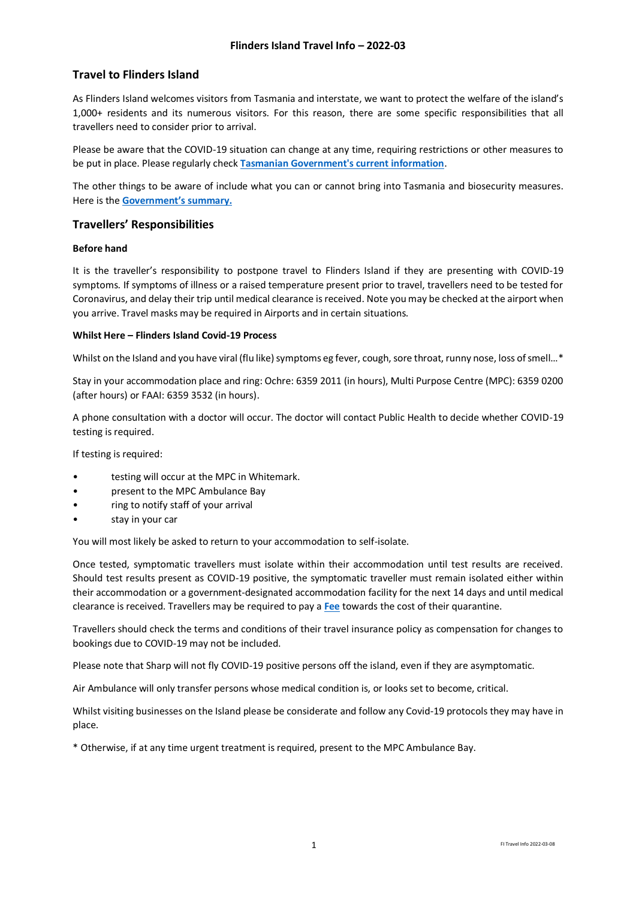# **Travel to Flinders Island**

As Flinders Island welcomes visitors from Tasmania and interstate, we want to protect the welfare of the island's 1,000+ residents and its numerous visitors. For this reason, there are some specific responsibilities that all travellers need to consider prior to arrival.

Please be aware that the COVID-19 situation can change at any time, requiring restrictions or other measures to be put in place. Please regularly check **[Tasmanian Government's current information](https://coronavirus.tas.gov.au/travellers-and-visitors/coming-to-tasmania)**.

The other things to be aware of include what you can or cannot bring into Tasmania and biosecurity measures. Here is the **[Government's summary.](https://dpipwe.tas.gov.au/biosecurity-tasmania/biosecurity/travellers-guide-to-tasmanian-biosecurity-what-you-can-and-cant-bring-into-tasmania)**

### **Travellers' Responsibilities**

### **Before hand**

It is the traveller's responsibility to postpone travel to Flinders Island if they are presenting with COVID-19 symptoms. If symptoms of illness or a raised temperature present prior to travel, travellers need to be tested for Coronavirus, and delay their trip until medical clearance is received. Note you may be checked at the airport when you arrive. Travel masks may be required in Airports and in certain situations.

#### **Whilst Here – Flinders Island Covid-19 Process**

Whilst on the Island and you have viral (flu like) symptoms eg fever, cough, sore throat, runny nose, loss of smell...\*

Stay in your accommodation place and ring: Ochre: 6359 2011 (in hours), Multi Purpose Centre (MPC): 6359 0200 (after hours) or FAAI: 6359 3532 (in hours).

A phone consultation with a doctor will occur. The doctor will contact Public Health to decide whether COVID-19 testing is required.

If testing is required:

- testing will occur at the MPC in Whitemark.
- present to the MPC Ambulance Bay
- ring to notify staff of your arrival
- stay in your car

You will most likely be asked to return to your accommodation to self-isolate.

Once tested, symptomatic travellers must isolate within their accommodation until test results are received. Should test results present as COVID-19 positive, the symptomatic traveller must remain isolated either within their accommodation or a government-designated accommodation facility for the next 14 days and until medical clearance is received. Travellers may be required to pay a **[Fee](https://coronavirus.tas.gov.au/travellers-and-visitors/quarantine)** towards the cost of their quarantine.

Travellers should check the terms and conditions of their travel insurance policy as compensation for changes to bookings due to COVID-19 may not be included.

Please note that Sharp will not fly COVID-19 positive persons off the island, even if they are asymptomatic.

Air Ambulance will only transfer persons whose medical condition is, or looks set to become, critical.

Whilst visiting businesses on the Island please be considerate and follow any Covid-19 protocols they may have in place.

\* Otherwise, if at any time urgent treatment is required, present to the MPC Ambulance Bay.